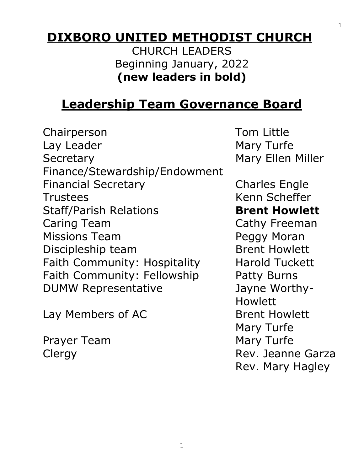# **DIXBORO UNITED METHODIST CHURCH**

CHURCH LEADERS Beginning January, 2022 **(new leaders in bold)**

# **Leadership Team Governance Board**

Chairperson Tom Little Lay Leader **Mary Turfe** Secretary Mary Ellen Miller Finance/Stewardship/Endowment Financial Secretary Charles Engle Trustees Kenn Scheffer Staff/Parish Relations **Brent Howlett** Caring Team Cathy Freeman Missions Team **Peggy Moran** Discipleship team Brent Howlett Faith Community: Hospitality Harold Tuckett Faith Community: Fellowship Patty Burns DUMW Representative Jayne Worthy-

Lay Members of AC Brent Howlett

Prayer Team Mary Turfe

Howlett Mary Turfe Clergy **Rev. Jeanne Garza** Rev. Mary Hagley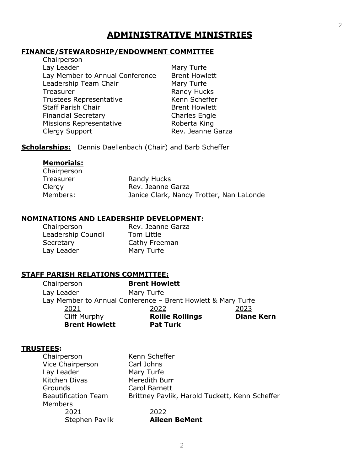## **ADMINISTRATIVE MINISTRIES**

#### **FINANCE/STEWARDSHIP/ENDOWMENT COMMITTEE**   $Chairnarcon$

| Cridifperson                    |                      |
|---------------------------------|----------------------|
| Lay Leader                      | Mary Turfe           |
| Lay Member to Annual Conference | <b>Brent Howlett</b> |
| Leadership Team Chair           | Mary Turfe           |
| Treasurer                       | Randy Hucks          |
| <b>Trustees Representative</b>  | Kenn Scheffer        |
| <b>Staff Parish Chair</b>       | <b>Brent Howlett</b> |
| <b>Financial Secretary</b>      | <b>Charles Engle</b> |
| <b>Missions Representative</b>  | Roberta King         |
| Clergy Support                  | Rev. Jeanne Garza    |

**Scholarships:** Dennis Daellenbach (Chair) and Barb Scheffer

#### **Memorials:**

| Chairperson |                                          |
|-------------|------------------------------------------|
| Treasurer   | Randy Hucks                              |
| Clergy      | Rev. Jeanne Garza                        |
| Members:    | Janice Clark, Nancy Trotter, Nan LaLonde |

#### **NOMINATIONS AND LEADERSHIP DEVELOPMENT:**

Chairperson Rev. Jeanne Garza Leadership Council Tom Little Secretary Cathy Freeman Lay Leader Mary Turfe

#### **STAFF PARISH RELATIONS COMMITTEE:**

| <b>Cliff Murphy</b><br><b>Brent Howlett</b> | <b>Rollie Rollings</b><br><b>Pat Turk</b>                    | <b>Diane Kern</b> |
|---------------------------------------------|--------------------------------------------------------------|-------------------|
| 2021                                        | 2022                                                         | 2023              |
|                                             | Lay Member to Annual Conference - Brent Howlett & Mary Turfe |                   |
| Lay Leader                                  | Mary Turfe                                                   |                   |
| Chairperson                                 | <b>Brent Howlett</b>                                         |                   |

#### **TRUSTEES:**

| Chairperson      |                            | Kenn Scheffer                                  |
|------------------|----------------------------|------------------------------------------------|
| Vice Chairperson |                            | Carl Johns                                     |
| Lay Leader       |                            | Mary Turfe                                     |
| Kitchen Divas    |                            | Meredith Burr                                  |
| Grounds          |                            | Carol Barnett                                  |
|                  | <b>Beautification Team</b> | Brittney Pavlik, Harold Tuckett, Kenn Scheffer |
| <b>Members</b>   |                            |                                                |
|                  | 2021                       | 2022                                           |
|                  | Stephen Pavlik             | <b>Aileen BeMent</b>                           |